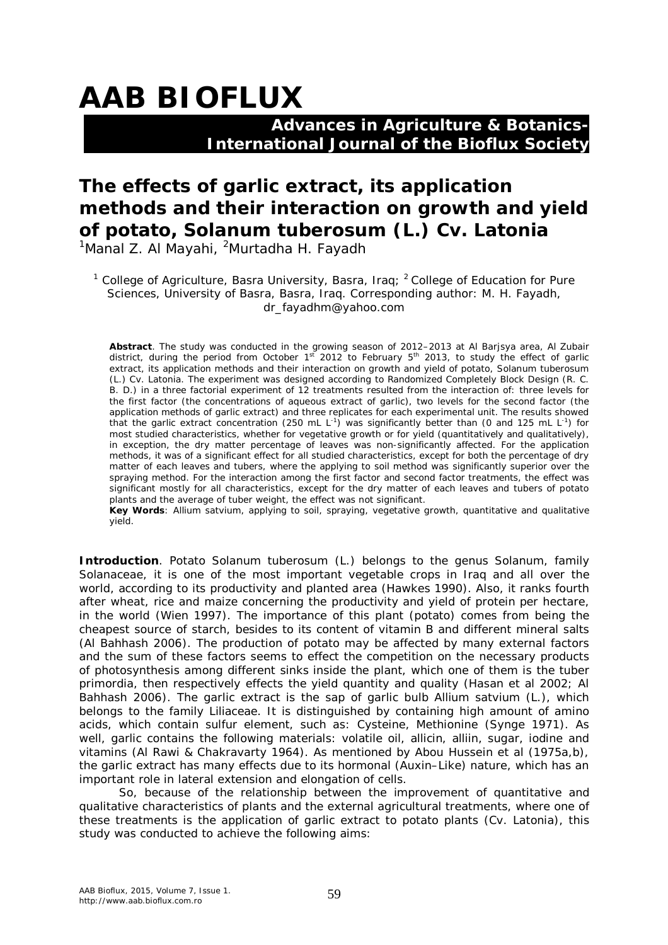# **AAB BIOFLUX**

### **Advances in Agriculture & Botanics- International Journal of the Bioflux Society**

## **The effects of garlic extract, its application methods and their interaction on growth and yield of potato,** *Solanum tuberosum* **(L.) Cv. Latonia**

 $1$ Manal Z. Al Mayahi,  $2$ Murtadha H. Fayadh

<sup>1</sup> College of Agriculture, Basra University, Basra, Irag;  $2$  College of Education for Pure Sciences, University of Basra, Basra, Iraq. Corresponding author: M. H. Fayadh, dr\_fayadhm@yahoo.com

**Abstract**. The study was conducted in the growing season of 2012–2013 at Al Barjsya area, Al Zubair district, during the period from October 1<sup>st</sup> 2012 to February 5<sup>th</sup> 2013, to study the effect of garlic extract, its application methods and their interaction on growth and yield of potato, *Solanum tuberosum* (L.) Cv. Latonia. The experiment was designed according to Randomized Completely Block Design (R. C. B. D.) in a three factorial experiment of 12 treatments resulted from the interaction of: three levels for the first factor (the concentrations of aqueous extract of garlic), two levels for the second factor (the application methods of garlic extract) and three replicates for each experimental unit. The results showed that the garlic extract concentration (250 mL  $L^{-1}$ ) was significantly better than (0 and 125 mL  $L^{-1}$ ) for most studied characteristics, whether for vegetative growth or for yield (quantitatively and qualitatively), in exception, the dry matter percentage of leaves was non-significantly affected. For the application methods, it was of a significant effect for all studied characteristics, except for both the percentage of dry matter of each leaves and tubers, where the applying to soil method was significantly superior over the spraying method. For the interaction among the first factor and second factor treatments, the effect was significant mostly for all characteristics, except for the dry matter of each leaves and tubers of potato plants and the average of tuber weight, the effect was not significant.

**Key Words**: *Allium satvium*, applying to soil, spraying, vegetative growth, quantitative and qualitative yield.

**Introduction**. Potato *Solanum tuberosum* (L.) belongs to the genus *Solanum*, family *Solanaceae*, it is one of the most important vegetable crops in Iraq and all over the world, according to its productivity and planted area (Hawkes 1990). Also, it ranks fourth after wheat, rice and maize concerning the productivity and yield of protein per hectare, in the world (Wien 1997). The importance of this plant (potato) comes from being the cheapest source of starch, besides to its content of vitamin B and different mineral salts (Al Bahhash 2006). The production of potato may be affected by many external factors and the sum of these factors seems to effect the competition on the necessary products of photosynthesis among different sinks inside the plant, which one of them is the tuber primordia, then respectively effects the yield quantity and quality (Hasan et al 2002; Al Bahhash 2006). The garlic extract is the sap of garlic bulb *Allium satvium* (L.), which belongs to the family *Liliaceae*. It is distinguished by containing high amount of amino acids, which contain sulfur element, such as: Cysteine, Methionine (Synge 1971). As well, garlic contains the following materials: volatile oil, allicin, alliin, sugar, iodine and vitamins (Al Rawi & Chakravarty 1964). As mentioned by Abou Hussein et al (1975a,b), the garlic extract has many effects due to its hormonal (Auxin–Like) nature, which has an important role in lateral extension and elongation of cells.

So, because of the relationship between the improvement of quantitative and qualitative characteristics of plants and the external agricultural treatments, where one of these treatments is the application of garlic extract to potato plants (Cv. Latonia), this study was conducted to achieve the following aims: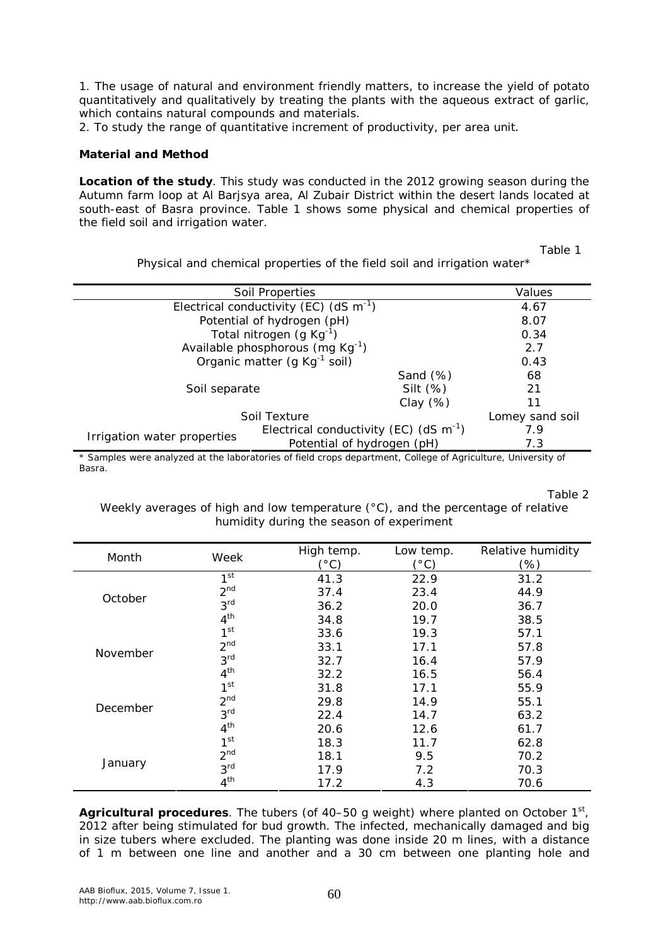1. The usage of natural and environment friendly matters, to increase the yield of potato quantitatively and qualitatively by treating the plants with the aqueous extract of garlic, which contains natural compounds and materials.

2. To study the range of quantitative increment of productivity, per area unit.

#### **Material and Method**

**Location of the study**. This study was conducted in the 2012 growing season during the Autumn farm loop at Al Barjsya area, Al Zubair District within the desert lands located at south-east of Basra province. Table 1 shows some physical and chemical properties of the field soil and irrigation water.

Table 1

|                                                                                                              | <b>Soil Properties</b>                      |             | Values          |
|--------------------------------------------------------------------------------------------------------------|---------------------------------------------|-------------|-----------------|
|                                                                                                              | Electrical conductivity (EC) (dS $m^{-1}$ ) |             | 4.67            |
|                                                                                                              | Potential of hydrogen (pH)                  |             | 8.07            |
|                                                                                                              | Total nitrogen $(g Kg^{-1})$                |             | 0.34            |
|                                                                                                              | Available phosphorous (mg Kg-1)             |             | 2.7             |
| Organic matter (g Kg <sup>-1</sup> soil)                                                                     |                                             | 0.43        |                 |
|                                                                                                              |                                             | Sand $(\%)$ | 68              |
| Silt $(\%)$<br>Soil separate                                                                                 |                                             | 21          |                 |
| Clay $(\%)$                                                                                                  |                                             | 11          |                 |
|                                                                                                              | Soil Texture                                |             | Lomey sand soil |
|                                                                                                              | Electrical conductivity (EC) (dS $m^{-1}$ ) |             | 7.9             |
| Irrigation water properties                                                                                  | Potential of hydrogen (pH)                  |             | 7.3             |
| * Camples were analyzed at the laboratories of field crops department. College of Agriculture, University of |                                             |             |                 |

Physical and chemical properties of the field soil and irrigation water\*

Samples were analyzed at the laboratories of field crops department, College of Agriculture, University of Basra.

Table 2

Weekly averages of high and low temperature (°C), and the percentage of relative humidity during the season of experiment

| Month    | Week            | High temp.          | Low temp.           | Relative humidity |
|----------|-----------------|---------------------|---------------------|-------------------|
|          |                 | $^{\prime\circ}$ C) | $^{\prime\circ}$ C) | (%)               |
|          | 1 <sup>st</sup> | 41.3                | 22.9                | 31.2              |
| October  | 2 <sup>nd</sup> | 37.4                | 23.4                | 44.9              |
|          | 3 <sup>rd</sup> | 36.2                | 20.0                | 36.7              |
|          | 4 <sup>th</sup> | 34.8                | 19.7                | 38.5              |
|          | 1 <sup>st</sup> | 33.6                | 19.3                | 57.1              |
|          | 2 <sup>nd</sup> | 33.1                | 17.1                | 57.8              |
| November | 3 <sup>rd</sup> | 32.7                | 16.4                | 57.9              |
|          | 4 <sup>th</sup> | 32.2                | 16.5                | 56.4              |
|          | 1 <sup>st</sup> | 31.8                | 17.1                | 55.9              |
|          | 2 <sup>nd</sup> | 29.8                | 14.9                | 55.1              |
| December | 3 <sup>rd</sup> | 22.4                | 14.7                | 63.2              |
|          | 4 <sup>th</sup> | 20.6                | 12.6                | 61.7              |
|          | 1 <sup>st</sup> | 18.3                | 11.7                | 62.8              |
| January  | 2 <sup>nd</sup> | 18.1                | 9.5                 | 70.2              |
|          | 3 <sup>rd</sup> | 17.9                | 7.2                 | 70.3              |
|          | 4 <sup>th</sup> | 17.2                | 4.3                 | 70.6              |

Agricultural procedures. The tubers (of 40–50 g weight) where planted on October 1<sup>st</sup>, 2012 after being stimulated for bud growth. The infected, mechanically damaged and big in size tubers where excluded. The planting was done inside 20 m lines, with a distance of 1 m between one line and another and a 30 cm between one planting hole and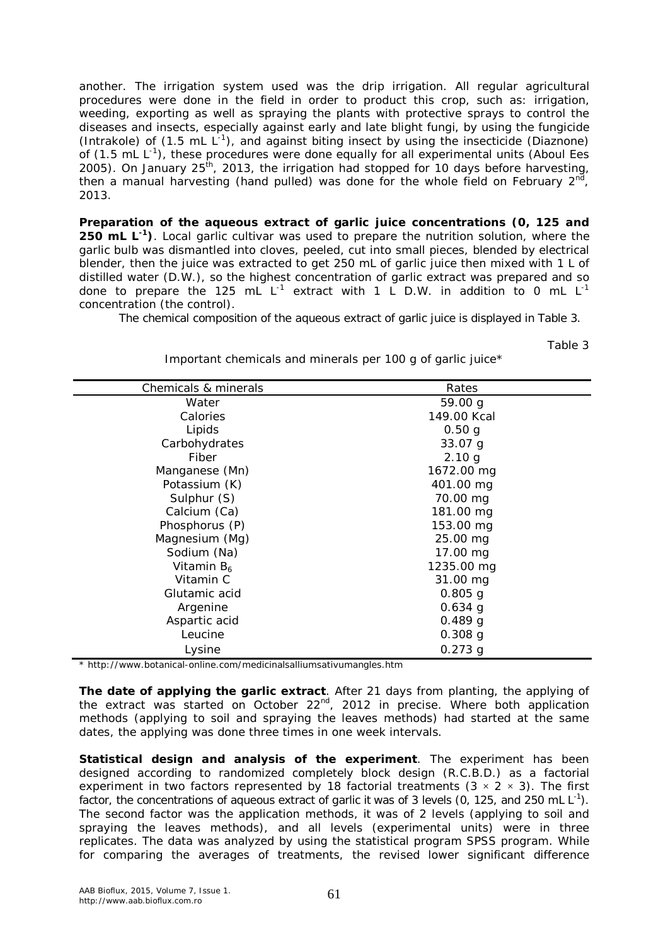another. The irrigation system used was the drip irrigation. All regular agricultural procedures were done in the field in order to product this crop, such as: irrigation, weeding, exporting as well as spraying the plants with protective sprays to control the diseases and insects, especially against early and late blight fungi, by using the fungicide (Intrakole) of  $(1.5 \text{ mL L}^{-1})$ , and against biting insect by using the insecticide (Diaznone) of (1.5 mL L<sup>-1</sup>), these procedures were done equally for all experimental units (Aboul Ees 2005). On January 25<sup>th</sup>, 2013, the irrigation had stopped for 10 days before harvesting, then a manual harvesting (hand pulled) was done for the whole field on February 2<sup>nd</sup>, 2013.

*Preparation of the aqueous extract of garlic juice concentrations (0, 125 and*  250 mL L<sup>-1</sup>). Local garlic cultivar was used to prepare the nutrition solution, where the garlic bulb was dismantled into cloves, peeled, cut into small pieces, blended by electrical blender, then the juice was extracted to get 250 mL of garlic juice then mixed with 1 L of distilled water (D.W.), so the highest concentration of garlic extract was prepared and so done to prepare the 125 mL L<sup>-1</sup> extract with 1 L D.W. in addition to 0 mL L<sup>-1</sup> concentration (the control).

The chemical composition of the aqueous extract of garlic juice is displayed in Table 3.

Table 3

| Important chemicals and minerals per 100 g of garlic juice* |  |
|-------------------------------------------------------------|--|
|                                                             |  |

| Chemicals & minerals   | Rates       |
|------------------------|-------------|
| Water                  | 59.00 g     |
| Calories               | 149.00 Kcal |
| Lipids                 | 0.50 g      |
| Carbohydrates          | 33.07 g     |
| Fiber                  | 2.10 g      |
| Manganese (Mn)         | 1672.00 mg  |
| Potassium (K)          | 401.00 mg   |
| Sulphur (S)            | 70.00 mg    |
| Calcium (Ca)           | 181.00 mg   |
| Phosphorus (P)         | 153.00 mg   |
| Magnesium (Mg)         | 25.00 mg    |
| Sodium (Na)            | 17.00 mg    |
| Vitamin B <sub>6</sub> | 1235.00 mg  |
| Vitamin C              | 31.00 mg    |
| Glutamic acid          | $0.805$ g   |
| Argenine               | $0.634$ g   |
| Aspartic acid          | $0.489$ g   |
| Leucine                | $0.308$ g   |
| Lysine                 | $0.273$ g   |

\* http://www.botanical-online.com/medicinalsalliumsativumangles.htm

*The date of applying the garlic extract*. After 21 days from planting, the applying of the extract was started on October 22nd, 2012 in precise. Where both application methods (applying to soil and spraying the leaves methods) had started at the same dates, the applying was done three times in one week intervals.

*Statistical design and analysis of the experiment*. The experiment has been designed according to randomized completely block design (R.C.B.D.) as a factorial experiment in two factors represented by 18 factorial treatments  $(3 \times 2 \times 3)$ . The first factor, the concentrations of aqueous extract of garlic it was of 3 levels (0, 125, and 250 mL  $L^{-1}$ ). The second factor was the application methods, it was of 2 levels (applying to soil and spraying the leaves methods), and all levels (experimental units) were in three replicates. The data was analyzed by using the statistical program SPSS program. While for comparing the averages of treatments, the revised lower significant difference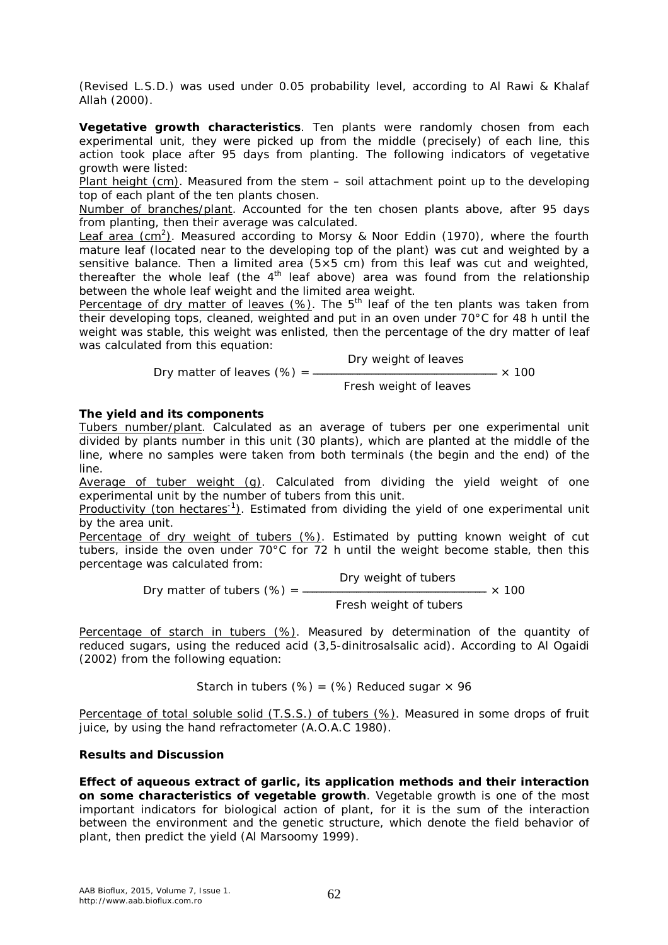(Revised L.S.D.) was used under 0.05 probability level, according to Al Rawi & Khalaf Allah (2000).

*Vegetative growth characteristics*. Ten plants were randomly chosen from each experimental unit, they were picked up from the middle (precisely) of each line, this action took place after 95 days from planting. The following indicators of vegetative growth were listed:

Plant height (cm). Measured from the stem – soil attachment point up to the developing top of each plant of the ten plants chosen.

Number of branches/plant. Accounted for the ten chosen plants above, after 95 days from planting, then their average was calculated.

Leaf area (cm<sup>2</sup>). Measured according to Morsy & Noor Eddin (1970), where the fourth mature leaf (located near to the developing top of the plant) was cut and weighted by a sensitive balance. Then a limited area ( $5\times5$  cm) from this leaf was cut and weighted, thereafter the whole leaf (the  $4<sup>th</sup>$  leaf above) area was found from the relationship between the whole leaf weight and the limited area weight.

Percentage of dry matter of leaves  $(\%)$ . The  $5<sup>th</sup>$  leaf of the ten plants was taken from their developing tops, cleaned, weighted and put in an oven under 70°C for 48 h until the weight was stable, this weight was enlisted, then the percentage of the dry matter of leaf was calculated from this equation:

 Dry weight of leaves Dry matter of leaves (%) = ـــــــــــــــــــــــــــــــــــــــــــــــــــــــــــــــــــــــــــــــ × 100

Fresh weight of leaves

#### *The yield and its components*

Tubers number/plant. Calculated as an average of tubers per one experimental unit divided by plants number in this unit (30 plants), which are planted at the middle of the line, where no samples were taken from both terminals (the begin and the end) of the line.

Average of tuber weight (g). Calculated from dividing the yield weight of one experimental unit by the number of tubers from this unit.

Productivity (ton hectares<sup>-1</sup>). Estimated from dividing the yield of one experimental unit by the area unit.

Percentage of dry weight of tubers (%). Estimated by putting known weight of cut tubers, inside the oven under 70°C for 72 h until the weight become stable, then this percentage was calculated from:

 Dry weight of tubers Dry matter of tubers (%) = ـــــــــــــــــــــــــــــــــــــــــــــــــــــــــــــــــــــــــــــــ × 100 Fresh weight of tubers

Percentage of starch in tubers (%). Measured by determination of the quantity of reduced sugars, using the reduced acid (3,5-dinitrosalsalic acid). According to Al Ogaidi (2002) from the following equation:

Starch in tubers (%) = (%) Reduced sugar  $\times$  96

Percentage of total soluble solid (T.S.S.) of tubers (%). Measured in some drops of fruit juice, by using the hand refractometer (A.O.A.C 1980).

#### **Results and Discussion**

*Effect of aqueous extract of garlic, its application methods and their interaction on some characteristics of vegetable growth*. Vegetable growth is one of the most important indicators for biological action of plant, for it is the sum of the interaction between the environment and the genetic structure, which denote the field behavior of plant, then predict the yield (Al Marsoomy 1999).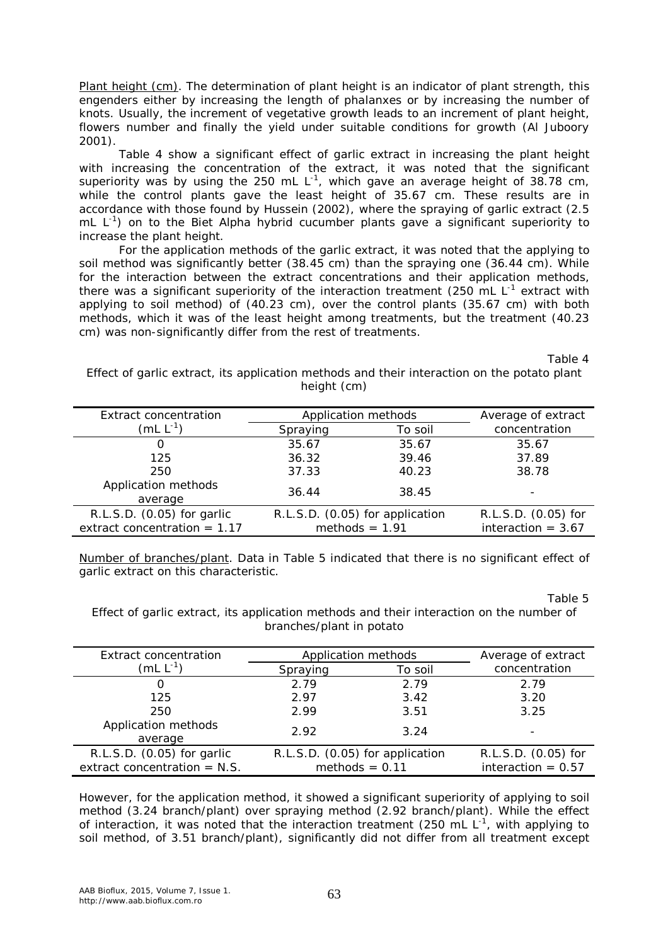Plant height (cm). The determination of plant height is an indicator of plant strength, this engenders either by increasing the length of phalanxes or by increasing the number of knots. Usually, the increment of vegetative growth leads to an increment of plant height, flowers number and finally the yield under suitable conditions for growth (Al Juboory 2001).

Table 4 show a significant effect of garlic extract in increasing the plant height with increasing the concentration of the extract, it was noted that the significant superiority was by using the 250 mL  $L^{-1}$ , which gave an average height of 38.78 cm, while the control plants gave the least height of 35.67 cm. These results are in accordance with those found by Hussein (2002), where the spraying of garlic extract (2.5 mL  $L^{-1}$ ) on to the Biet Alpha hybrid cucumber plants gave a significant superiority to increase the plant height.

For the application methods of the garlic extract, it was noted that the applying to soil method was significantly better (38.45 cm) than the spraying one (36.44 cm). While for the interaction between the extract concentrations and their application methods, there was a significant superiority of the interaction treatment (250 mL  $L^{-1}$  extract with applying to soil method) of (40.23 cm), over the control plants (35.67 cm) with both methods, which it was of the least height among treatments, but the treatment (40.23 cm) was non-significantly differ from the rest of treatments.

Table 4

| Effect of garlic extract, its application methods and their interaction on the potato plant |
|---------------------------------------------------------------------------------------------|
| height (cm)                                                                                 |

| <b>Extract concentration</b>                                 | Application methods                                 |         | Average of extract                          |
|--------------------------------------------------------------|-----------------------------------------------------|---------|---------------------------------------------|
| $(mL L^{-1})$                                                | Spraying                                            | To soil | concentration                               |
| O                                                            | 35.67                                               | 35.67   | 35.67                                       |
| 125                                                          | 36.32                                               | 39.46   | 37.89                                       |
| 250                                                          | 37.33                                               | 40.23   | 38.78                                       |
| Application methods<br>average                               | 36.44                                               | 38.45   |                                             |
| R.L.S.D. (0.05) for garlic<br>extract concentration = $1.17$ | R.L.S.D. (0.05) for application<br>methods = $1.91$ |         | R.L.S.D. (0.05) for<br>interaction = $3.67$ |

Number of branches/plant. Data in Table 5 indicated that there is no significant effect of garlic extract on this characteristic.

Table 5

Effect of garlic extract, its application methods and their interaction on the number of branches/plant in potato

| Extract concentration          | Application methods             |         | Average of extract   |
|--------------------------------|---------------------------------|---------|----------------------|
| (mL L $^{-1}$ )                | Spraying                        | To soil | concentration        |
| O                              | 2.79                            | 2.79    | 2.79                 |
| 125                            | 2.97                            | 3.42    | 3.20                 |
| 250                            | 2.99                            | 3.51    | 3.25                 |
| Application methods<br>average | 2.92                            | 3.24    |                      |
| R.L.S.D. (0.05) for garlic     | R.L.S.D. (0.05) for application |         | R.L.S.D. (0.05) for  |
| extract concentration = $N.S.$ | methods $= 0.11$                |         | interaction = $0.57$ |

However, for the application method, it showed a significant superiority of applying to soil method (3.24 branch/plant) over spraying method (2.92 branch/plant). While the effect of interaction, it was noted that the interaction treatment (250 mL  $L^{-1}$ , with applying to soil method, of 3.51 branch/plant), significantly did not differ from all treatment except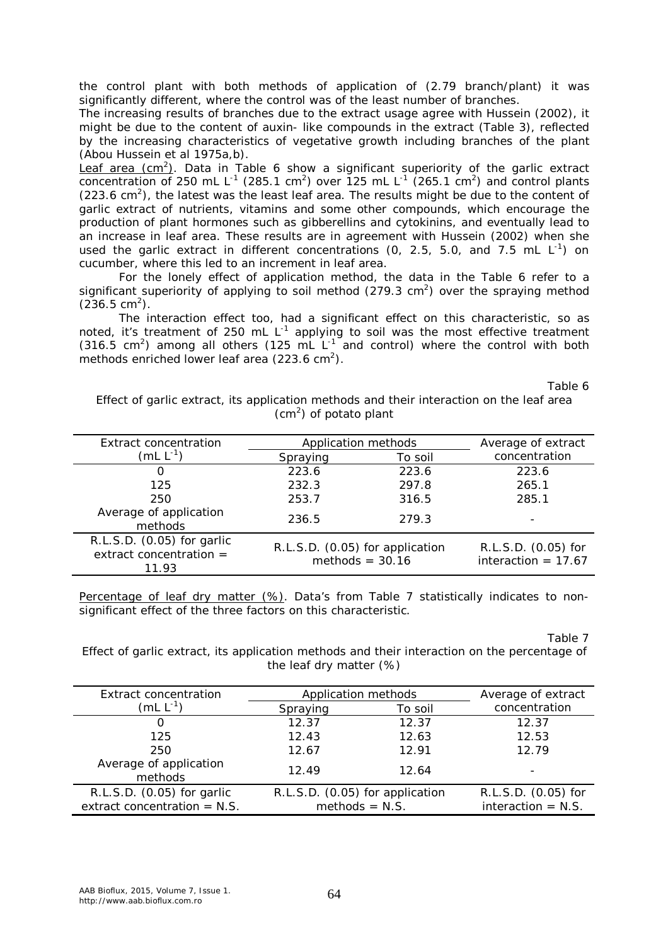the control plant with both methods of application of (2.79 branch/plant) it was significantly different, where the control was of the least number of branches.

The increasing results of branches due to the extract usage agree with Hussein (2002), it might be due to the content of auxin- like compounds in the extract (Table 3), reflected by the increasing characteristics of vegetative growth including branches of the plant (Abou Hussein et al 1975a,b).

Leaf area (cm<sup>2</sup>). Data in Table 6 show a significant superiority of the garlic extract concentration of 250 mL L<sup>-1</sup> (285.1 cm<sup>2</sup>) over 125 mL L<sup>-1</sup> (265.1 cm<sup>2</sup>) and control plants  $(223.6 \text{ cm}^2)$ , the latest was the least leaf area. The results might be due to the content of garlic extract of nutrients, vitamins and some other compounds, which encourage the production of plant hormones such as gibberellins and cytokinins, and eventually lead to an increase in leaf area. These results are in agreement with Hussein (2002) when she used the garlic extract in different concentrations (0, 2.5, 5.0, and 7.5 mL  $L^{-1}$ ) on cucumber, where this led to an increment in leaf area.

For the lonely effect of application method, the data in the Table 6 refer to a significant superiority of applying to soil method (279.3 cm<sup>2</sup>) over the spraying method  $(236.5 \text{ cm}^2)$ .

The interaction effect too, had a significant effect on this characteristic, so as noted, it's treatment of 250 mL  $L^{-1}$  applying to soil was the most effective treatment (316.5 cm<sup>2</sup>) among all others (125 mL  $L^{-1}$  and control) where the control with both methods enriched lower leaf area (223.6 cm<sup>2</sup>).

Table 6

Effect of garlic extract, its application methods and their interaction on the leaf area  $(cm<sup>2</sup>)$  of potato plant

| <b>Extract concentration</b>                                     | Application methods                                  |         | Average of extract                           |
|------------------------------------------------------------------|------------------------------------------------------|---------|----------------------------------------------|
| (mL $L^{-1}$ )                                                   | Spraying                                             | To soil | concentration                                |
| $\left( \right)$                                                 | 223.6                                                | 223.6   | 223.6                                        |
| 125                                                              | 232.3                                                | 297.8   | 265.1                                        |
| 250                                                              | 253.7                                                | 316.5   | 285.1                                        |
| Average of application<br>methods                                | 236.5                                                | 279.3   |                                              |
| R.L.S.D. (0.05) for garlic<br>extract concentration $=$<br>11.93 | R.L.S.D. (0.05) for application<br>methods = $30.16$ |         | R.L.S.D. (0.05) for<br>interaction = $17.67$ |

Percentage of leaf dry matter (%). Data's from Table 7 statistically indicates to nonsignificant effect of the three factors on this characteristic.

Table 7

Effect of garlic extract, its application methods and their interaction on the percentage of the leaf dry matter (%)

| Extract concentration             | Application methods             |         | Average of extract   |
|-----------------------------------|---------------------------------|---------|----------------------|
| $(mL L^{-1})$                     | Spraying                        | To soil | concentration        |
| $\left($                          | 12.37                           | 12.37   | 12.37                |
| 125                               | 12.43                           | 12.63   | 12.53                |
| 250                               | 12.67                           | 12.91   | 12.79                |
| Average of application<br>methods | 12.49                           | 12.64   |                      |
| R.L.S.D. (0.05) for garlic        | R.L.S.D. (0.05) for application |         | R.L.S.D. (0.05) for  |
| extract concentration = $N.S.$    | methods $= N.S.$                |         | interaction $=$ N.S. |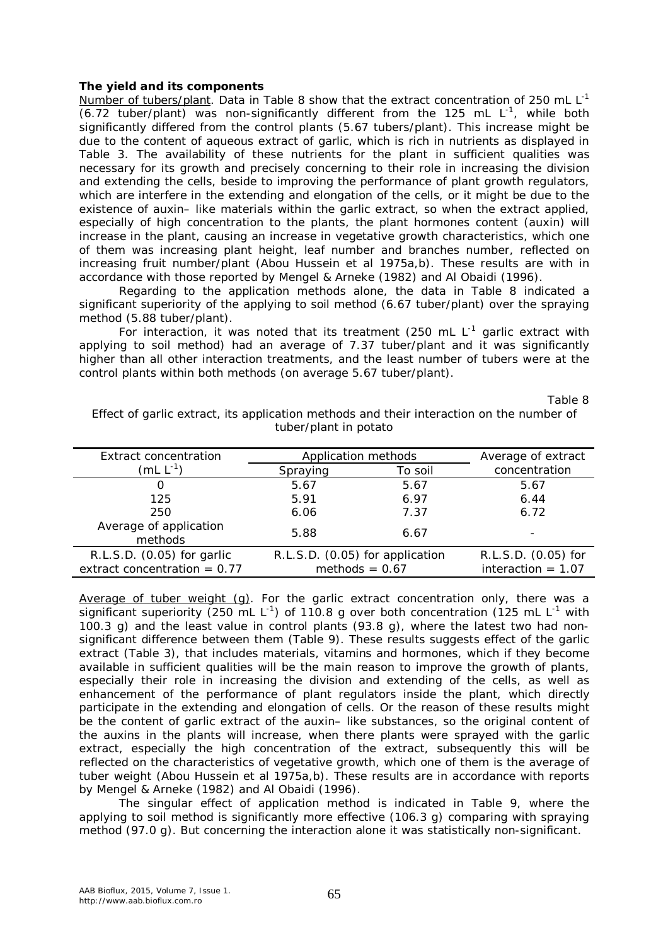#### *The yield and its components*

Number of tubers/plant. Data in Table 8 show that the extract concentration of 250 mL L<sup>-1</sup>  $(6.72$  tuber/plant) was non-significantly different from the 125 mL  $L^{-1}$ , while both significantly differed from the control plants (5.67 tubers/plant). This increase might be due to the content of aqueous extract of garlic, which is rich in nutrients as displayed in Table 3. The availability of these nutrients for the plant in sufficient qualities was necessary for its growth and precisely concerning to their role in increasing the division and extending the cells, beside to improving the performance of plant growth regulators, which are interfere in the extending and elongation of the cells, or it might be due to the existence of auxin– like materials within the garlic extract, so when the extract applied, especially of high concentration to the plants, the plant hormones content (auxin) will increase in the plant, causing an increase in vegetative growth characteristics, which one of them was increasing plant height, leaf number and branches number, reflected on increasing fruit number/plant (Abou Hussein et al 1975a,b). These results are with in accordance with those reported by Mengel & Arneke (1982) and Al Obaidi (1996).

Regarding to the application methods alone, the data in Table 8 indicated a significant superiority of the applying to soil method (6.67 tuber/plant) over the spraying method (5.88 tuber/plant).

For interaction, it was noted that its treatment (250 mL  $L^{-1}$  garlic extract with applying to soil method) had an average of 7.37 tuber/plant and it was significantly higher than all other interaction treatments, and the least number of tubers were at the control plants within both methods (on average 5.67 tuber/plant).

Table 8

| Extract concentration             | Application methods             |         | Average of extract   |
|-----------------------------------|---------------------------------|---------|----------------------|
| (mL L $^{-1}$ )                   | Spraying                        | To soil | concentration        |
| O                                 | 5.67                            | 5.67    | 5.67                 |
| 125                               | 5.91                            | 6.97    | 6.44                 |
| 250                               | 6.06                            | 7.37    | 6.72                 |
| Average of application<br>methods | 5.88                            | 6.67    |                      |
| R.L.S.D. (0.05) for garlic        | R.L.S.D. (0.05) for application |         | R.L.S.D. (0.05) for  |
| extract concentration = $0.77$    | methods = $0.67$                |         | interaction = $1.07$ |

Effect of garlic extract, its application methods and their interaction on the number of tuber/plant in potato

Average of tuber weight (g). For the garlic extract concentration only, there was a significant superiority (250 mL L<sup>-1</sup>) of 110.8 g over both concentration (125 mL L<sup>-1</sup> with 100.3 g) and the least value in control plants  $(93.8 g)$ , where the latest two had nonsignificant difference between them (Table 9). These results suggests effect of the garlic extract (Table 3), that includes materials, vitamins and hormones, which if they become available in sufficient qualities will be the main reason to improve the growth of plants, especially their role in increasing the division and extending of the cells, as well as enhancement of the performance of plant regulators inside the plant, which directly participate in the extending and elongation of cells. Or the reason of these results might be the content of garlic extract of the auxin– like substances, so the original content of the auxins in the plants will increase, when there plants were sprayed with the garlic extract, especially the high concentration of the extract, subsequently this will be reflected on the characteristics of vegetative growth, which one of them is the average of tuber weight (Abou Hussein et al 1975a,b). These results are in accordance with reports by Mengel & Arneke (1982) and Al Obaidi (1996).

The singular effect of application method is indicated in Table 9, where the applying to soil method is significantly more effective (106.3 g) comparing with spraying method (97.0 g). But concerning the interaction alone it was statistically non-significant.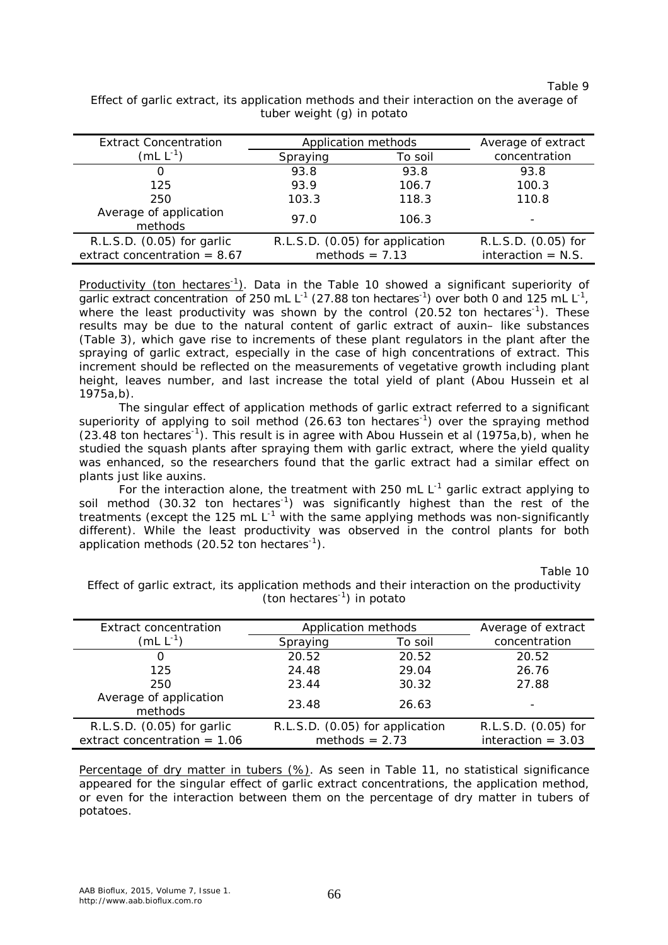Table 9

| <b>Extract Concentration</b><br>(mL $L^{-1}$ )               | Application methods<br>Spraying<br>To soil          |       | Average of extract<br>concentration         |
|--------------------------------------------------------------|-----------------------------------------------------|-------|---------------------------------------------|
| O                                                            | 93.8                                                | 93.8  | 93.8                                        |
| 125                                                          | 93.9                                                | 106.7 | 100.3                                       |
| 250                                                          | 103.3                                               | 118.3 | 110.8                                       |
| Average of application<br>methods                            | 97.0                                                | 106.3 |                                             |
| R.L.S.D. (0.05) for garlic<br>extract concentration = $8.67$ | R.L.S.D. (0.05) for application<br>methods = $7.13$ |       | R.L.S.D. (0.05) for<br>interaction $=$ N.S. |

Effect of garlic extract, its application methods and their interaction on the average of tuber weight (g) in potato

Productivity (ton hectares<sup>-1</sup>). Data in the Table 10 showed a significant superiority of garlic extract concentration of 250 mL L<sup>-1</sup> (27.88 ton hectares<sup>-1</sup>) over both 0 and 125 mL L<sup>-1</sup>, where the least productivity was shown by the control (20.52 ton hectares<sup>-1</sup>). These results may be due to the natural content of garlic extract of auxin– like substances (Table 3), which gave rise to increments of these plant regulators in the plant after the spraying of garlic extract, especially in the case of high concentrations of extract. This increment should be reflected on the measurements of vegetative growth including plant height, leaves number, and last increase the total yield of plant (Abou Hussein et al 1975a,b).

The singular effect of application methods of garlic extract referred to a significant superiority of applying to soil method (26.63 ton hectares<sup>-1</sup>) over the spraying method  $(23.48 \text{ ton hectares}^{-1})$ . This result is in agree with Abou Hussein et al  $(1975a,b)$ , when he studied the squash plants after spraying them with garlic extract, where the yield quality was enhanced, so the researchers found that the garlic extract had a similar effect on plants just like auxins.

For the interaction alone, the treatment with 250 mL  $L^{-1}$  garlic extract applying to soil method (30.32 ton hectares<sup>-1</sup>) was significantly highest than the rest of the treatments (except the 125 mL  $L^{-1}$  with the same applying methods was non-significantly different). While the least productivity was observed in the control plants for both application methods (20.52 ton hectares<sup>-1</sup>).

Table 10

Effect of garlic extract, its application methods and their interaction on the productivity (ton hectares<sup>-1</sup>) in potato

| Extract concentration                                        | Application methods             |                  | Average of extract                          |
|--------------------------------------------------------------|---------------------------------|------------------|---------------------------------------------|
| (mL $L^{-1}$ )                                               | Spraying                        | To soil          | concentration                               |
| O                                                            | 20.52                           | 20.52            | 20.52                                       |
| 125                                                          | 24.48                           | 29.04            | 26.76                                       |
| 250                                                          | 23.44                           | 30.32            | 27.88                                       |
| Average of application<br>methods                            | 23.48                           | 26.63            |                                             |
| R.L.S.D. (0.05) for garlic<br>extract concentration = $1.06$ | R.L.S.D. (0.05) for application | methods = $2.73$ | R.L.S.D. (0.05) for<br>interaction = $3.03$ |

Percentage of dry matter in tubers (%). As seen in Table 11, no statistical significance appeared for the singular effect of garlic extract concentrations, the application method, or even for the interaction between them on the percentage of dry matter in tubers of potatoes.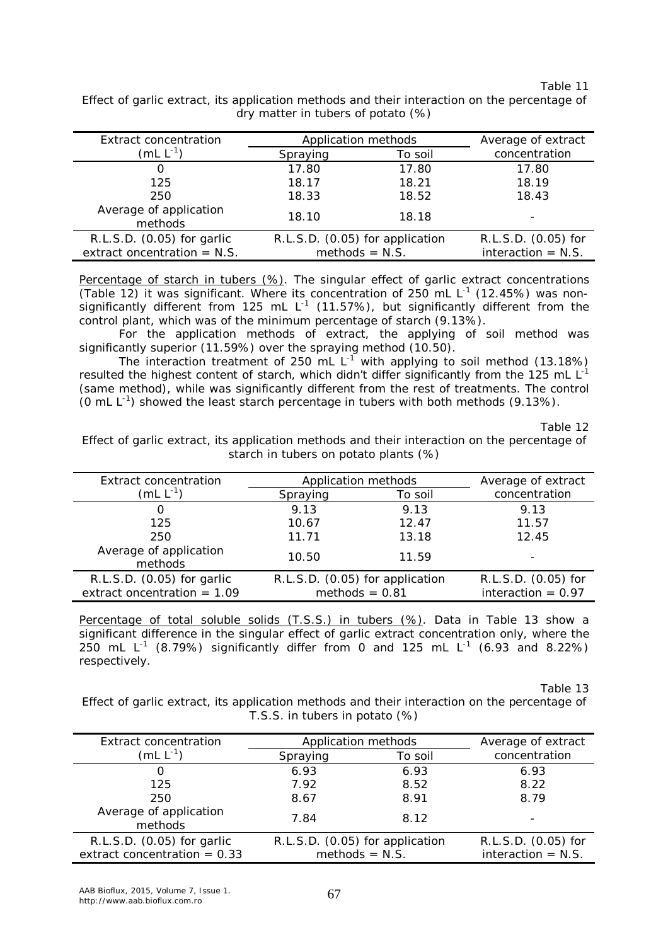| Application methods             |         | Average of extract                          |
|---------------------------------|---------|---------------------------------------------|
| Spraying                        | To soil | concentration                               |
| 17.80                           | 17.80   | 17.80                                       |
| 18.17                           | 18.21   | 18.19                                       |
| 18.33                           | 18.52   | 18.43                                       |
| 18.10                           | 18.18   |                                             |
| R.L.S.D. (0.05) for application |         | R.L.S.D. (0.05) for<br>interaction $=$ N.S. |
|                                 |         | $methods = N.S.$                            |

Effect of garlic extract, its application methods and their interaction on the percentage of dry matter in tubers of potato (%)

Percentage of starch in tubers (%). The singular effect of garlic extract concentrations (Table 12) it was significant. Where its concentration of 250 mL  $L^{-1}$  (12.45%) was nonsignificantly different from 125 mL L<sup>-1</sup> (11.57%), but significantly different from the control plant, which was of the minimum percentage of starch (9.13%).

For the application methods of extract, the applying of soil method was significantly superior (11.59%) over the spraying method (10.50).

The interaction treatment of 250 mL  $L^{-1}$  with applying to soil method (13.18%) resulted the highest content of starch, which didn't differ significantly from the 125 mL  $L^{-1}$ (same method), while was significantly different from the rest of treatments. The control (0 mL  $L^{-1}$ ) showed the least starch percentage in tubers with both methods (9.13%).

Table 12

Effect of garlic extract, its application methods and their interaction on the percentage of starch in tubers on potato plants (%)

| Extract concentration             | Application methods             |         | Average of extract   |
|-----------------------------------|---------------------------------|---------|----------------------|
| $(mL L^{-1})$                     | Spraying                        | To soil | concentration        |
| O                                 | 9.13                            | 9.13    | 9.13                 |
| 125                               | 10.67                           | 12.47   | 11.57                |
| 250                               | 11.71                           | 13.18   | 12.45                |
| Average of application<br>methods | 10.50                           | 11.59   |                      |
| R.L.S.D. (0.05) for garlic        | R.L.S.D. (0.05) for application |         | R.L.S.D. (0.05) for  |
| extract oncentration = $1.09$     | methods $= 0.81$                |         | interaction = $0.97$ |

Percentage of total soluble solids (T.S.S.) in tubers (%). Data in Table 13 show a significant difference in the singular effect of garlic extract concentration only, where the 250 mL L<sup>-1</sup> (8.79%) significantly differ from 0 and 125 mL L<sup>-1</sup> (6.93 and 8.22%) respectively.

Table 13

Effect of garlic extract, its application methods and their interaction on the percentage of T.S.S. in tubers in potato (%)

| Extract concentration             | Application methods             |         | Average of extract   |
|-----------------------------------|---------------------------------|---------|----------------------|
| $(mL L^{-1})$                     | Spraying                        | To soil | concentration        |
|                                   | 6.93                            | 6.93    | 6.93                 |
| 125                               | 7.92                            | 8.52    | 8.22                 |
| 250                               | 8.67                            | 8.91    | 8.79                 |
| Average of application<br>methods | 7.84                            | 8.12    |                      |
| R.L.S.D. (0.05) for garlic        | R.L.S.D. (0.05) for application |         | R.L.S.D. (0.05) for  |
| extract concentration = $0.33$    | $methods = N.S.$                |         | interaction $=$ N.S. |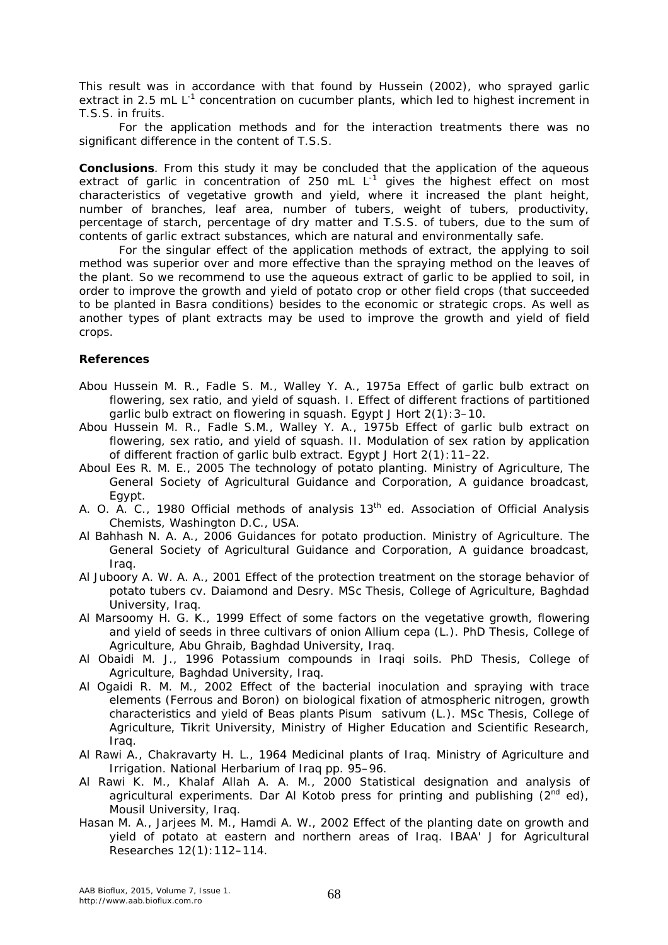This result was in accordance with that found by Hussein (2002), who sprayed garlic extract in 2.5 mL L<sup>-1</sup> concentration on cucumber plants, which led to highest increment in T.S.S. in fruits.

For the application methods and for the interaction treatments there was no significant difference in the content of T.S.S.

**Conclusions**. From this study it may be concluded that the application of the aqueous extract of garlic in concentration of 250 mL  $L^{-1}$  gives the highest effect on most characteristics of vegetative growth and yield, where it increased the plant height, number of branches, leaf area, number of tubers, weight of tubers, productivity, percentage of starch, percentage of dry matter and T.S.S. of tubers, due to the sum of contents of garlic extract substances, which are natural and environmentally safe.

For the singular effect of the application methods of extract, the applying to soil method was superior over and more effective than the spraying method on the leaves of the plant. So we recommend to use the aqueous extract of garlic to be applied to soil, in order to improve the growth and yield of potato crop or other field crops (that succeeded to be planted in Basra conditions) besides to the economic or strategic crops. As well as another types of plant extracts may be used to improve the growth and yield of field crops.

#### **References**

- Abou Hussein M. R., Fadle S. M., Walley Y. A., 1975a Effect of garlic bulb extract on flowering, sex ratio, and yield of squash. I. Effect of different fractions of partitioned garlic bulb extract on flowering in squash. Egypt J Hort 2(1):3–10.
- Abou Hussein M. R., Fadle S.M., Walley Y. A., 1975b Effect of garlic bulb extract on flowering, sex ratio, and yield of squash. II. Modulation of sex ration by application of different fraction of garlic bulb extract. Egypt J Hort 2(1):11–22.
- Aboul Ees R. M. E., 2005 The technology of potato planting. Ministry of Agriculture, The General Society of Agricultural Guidance and Corporation, A guidance broadcast, Egypt.
- A. O. A. C., 1980 Official methods of analysis 13<sup>th</sup> ed. Association of Official Analysis Chemists, Washington D.C., USA.
- Al Bahhash N. A. A., 2006 Guidances for potato production. Ministry of Agriculture. The General Society of Agricultural Guidance and Corporation, A guidance broadcast, Iraq.
- Al Juboory A. W. A. A., 2001 Effect of the protection treatment on the storage behavior of potato tubers cv. Daiamond and Desry. MSc Thesis, College of Agriculture, Baghdad University, Iraq.
- Al Marsoomy H. G. K., 1999 Effect of some factors on the vegetative growth, flowering and yield of seeds in three cultivars of onion *Allium cepa* (L.). PhD Thesis, College of Agriculture, Abu Ghraib, Baghdad University, Iraq.
- Al Obaidi M. J., 1996 Potassium compounds in Iraqi soils. PhD Thesis, College of Agriculture, Baghdad University, Iraq.
- Al Ogaidi R. M. M., 2002 Effect of the bacterial inoculation and spraying with trace elements (Ferrous and Boron) on biological fixation of atmospheric nitrogen, growth characteristics and yield of Beas plants *Pisum sativum* (L.). MSc Thesis, College of Agriculture, Tikrit University, Ministry of Higher Education and Scientific Research, Iraq.
- Al Rawi A., Chakravarty H. L., 1964 Medicinal plants of Iraq. Ministry of Agriculture and Irrigation. National Herbarium of Iraq pp. 95–96.
- Al Rawi K. M., Khalaf Allah A. A. M., 2000 Statistical designation and analysis of agricultural experiments. Dar Al Kotob press for printing and publishing  $(2^{nd}$  ed), Mousil University, Iraq.
- Hasan M. A., Jarjees M. M., Hamdi A. W., 2002 Effect of the planting date on growth and yield of potato at eastern and northern areas of Iraq. IBAA' J for Agricultural Researches 12(1):112–114.